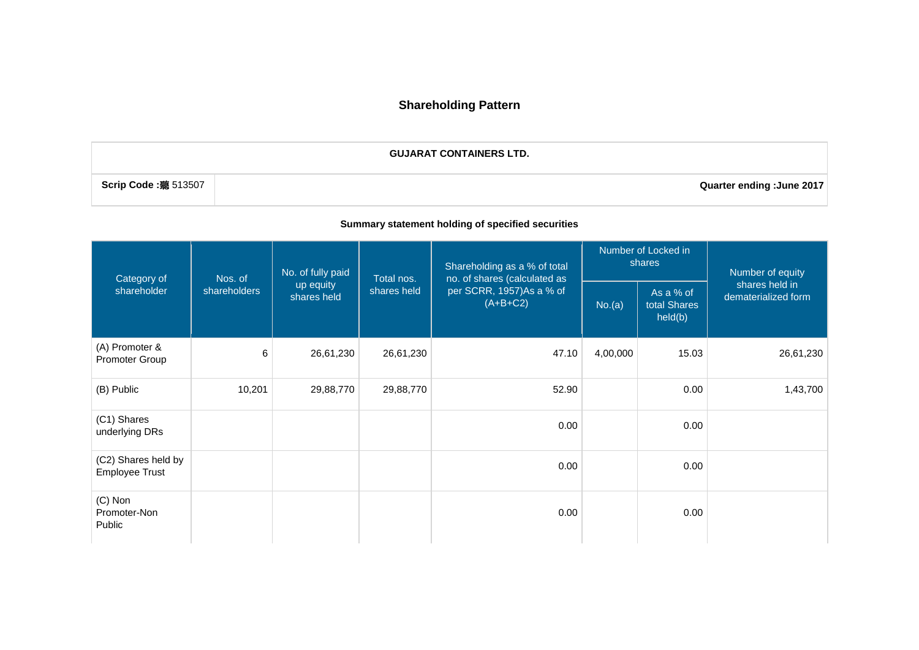# **Shareholding Pattern**

**GUJARAT CONTAINERS LTD.**

**Scrip Code :**聽 513507 **Quarter ending :June 2017**

### **Summary statement holding of specified securities**

| Category of                                  | Nos. of      | No. of fully paid        | Total nos.  | Shareholding as a % of total<br>no. of shares (calculated as |          | Number of Locked in<br>shares        | Number of equity<br>shares held in<br>dematerialized form |
|----------------------------------------------|--------------|--------------------------|-------------|--------------------------------------------------------------|----------|--------------------------------------|-----------------------------------------------------------|
| shareholder                                  | shareholders | up equity<br>shares held | shares held | per SCRR, 1957)As a % of<br>$(A+B+C2)$                       | No.(a)   | As a % of<br>total Shares<br>held(b) |                                                           |
| (A) Promoter &<br>Promoter Group             | 6            | 26,61,230                | 26,61,230   | 47.10                                                        | 4,00,000 | 15.03                                | 26,61,230                                                 |
| (B) Public                                   | 10,201       | 29,88,770                | 29,88,770   | 52.90                                                        |          | 0.00                                 | 1,43,700                                                  |
| (C1) Shares<br>underlying DRs                |              |                          |             | 0.00                                                         |          | 0.00                                 |                                                           |
| (C2) Shares held by<br><b>Employee Trust</b> |              |                          |             | 0.00                                                         |          | 0.00                                 |                                                           |
| $(C)$ Non<br>Promoter-Non<br>Public          |              |                          |             | 0.00                                                         |          | 0.00                                 |                                                           |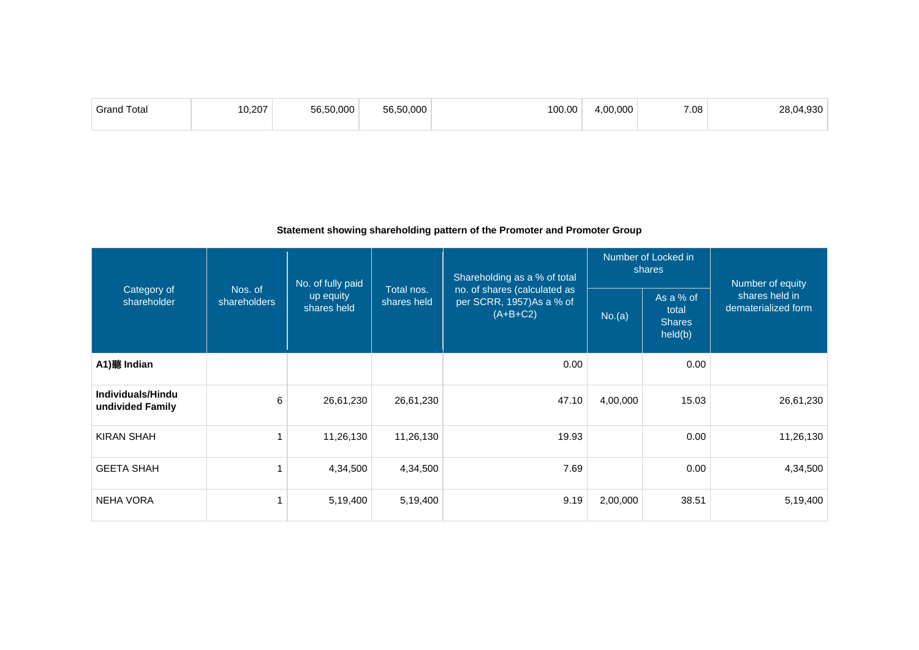| <b>Grand Total</b> | 0.002 | $\sim$ $\sim$ | 100.00 | .00.000 | 7.08 | 000 |
|--------------------|-------|---------------|--------|---------|------|-----|
|                    |       |               |        |         |      |     |

### **Statement showing shareholding pattern of the Promoter and Promoter Group**

|                                       |                         | No. of fully paid        |                           | Shareholding as a % of total                                           |          | Number of Locked in<br>shares                  | Number of equity                      |
|---------------------------------------|-------------------------|--------------------------|---------------------------|------------------------------------------------------------------------|----------|------------------------------------------------|---------------------------------------|
| Category of<br>shareholder            | Nos. of<br>shareholders | up equity<br>shares held | Total nos.<br>shares held | no. of shares (calculated as<br>per SCRR, 1957)As a % of<br>$(A+B+C2)$ | No.(a)   | As a % of<br>total<br><b>Shares</b><br>held(b) | shares held in<br>dematerialized form |
| A1) 聽 Indian                          |                         |                          |                           | 0.00                                                                   |          | 0.00                                           |                                       |
| Individuals/Hindu<br>undivided Family | 6                       | 26,61,230                | 26,61,230                 | 47.10                                                                  | 4,00,000 | 15.03                                          | 26,61,230                             |
| <b>KIRAN SHAH</b>                     |                         | 11,26,130                | 11,26,130                 | 19.93                                                                  |          | 0.00                                           | 11,26,130                             |
| <b>GEETA SHAH</b>                     |                         | 4,34,500                 | 4,34,500                  | 7.69                                                                   |          | 0.00                                           | 4,34,500                              |
| <b>NEHA VORA</b>                      |                         | 5,19,400                 | 5,19,400                  | 9.19                                                                   | 2,00,000 | 38.51                                          | 5,19,400                              |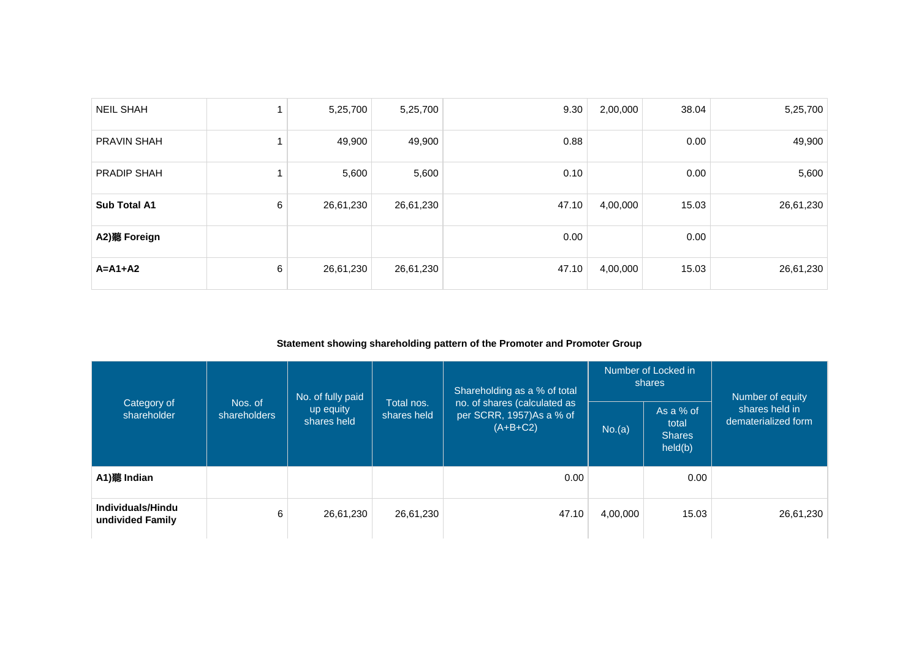| <b>NEIL SHAH</b>    |   | 5,25,700  | 5,25,700  | 9.30  | 2,00,000 | 38.04 | 5,25,700  |
|---------------------|---|-----------|-----------|-------|----------|-------|-----------|
| <b>PRAVIN SHAH</b>  |   | 49,900    | 49,900    | 0.88  |          | 0.00  | 49,900    |
| PRADIP SHAH         |   | 5,600     | 5,600     | 0.10  |          | 0.00  | 5,600     |
| <b>Sub Total A1</b> | 6 | 26,61,230 | 26,61,230 | 47.10 | 4,00,000 | 15.03 | 26,61,230 |
| A2)聽 Foreign        |   |           |           | 0.00  |          | 0.00  |           |
| $A = A1 + A2$       | 6 | 26,61,230 | 26,61,230 | 47.10 | 4,00,000 | 15.03 | 26,61,230 |

### **Statement showing shareholding pattern of the Promoter and Promoter Group**

|                                       |                         | No. of fully paid        |                                                                                                     | Shareholding as a % of total |          | Number of Locked in<br>shares                  | Number of equity                      |  |
|---------------------------------------|-------------------------|--------------------------|-----------------------------------------------------------------------------------------------------|------------------------------|----------|------------------------------------------------|---------------------------------------|--|
| Category of<br>shareholder            | Nos. of<br>shareholders | up equity<br>shares held | Total nos.<br>no. of shares (calculated as<br>per SCRR, 1957)As a % of<br>shares held<br>$(A+B+C2)$ |                              | No.(a)   | As a % of<br>total<br><b>Shares</b><br>held(b) | shares held in<br>dematerialized form |  |
| A1)聽 Indian                           |                         |                          |                                                                                                     | 0.00                         |          | 0.00                                           |                                       |  |
| Individuals/Hindu<br>undivided Family | 6                       | 26,61,230                | 26,61,230                                                                                           | 47.10                        | 4,00,000 | 15.03                                          | 26,61,230                             |  |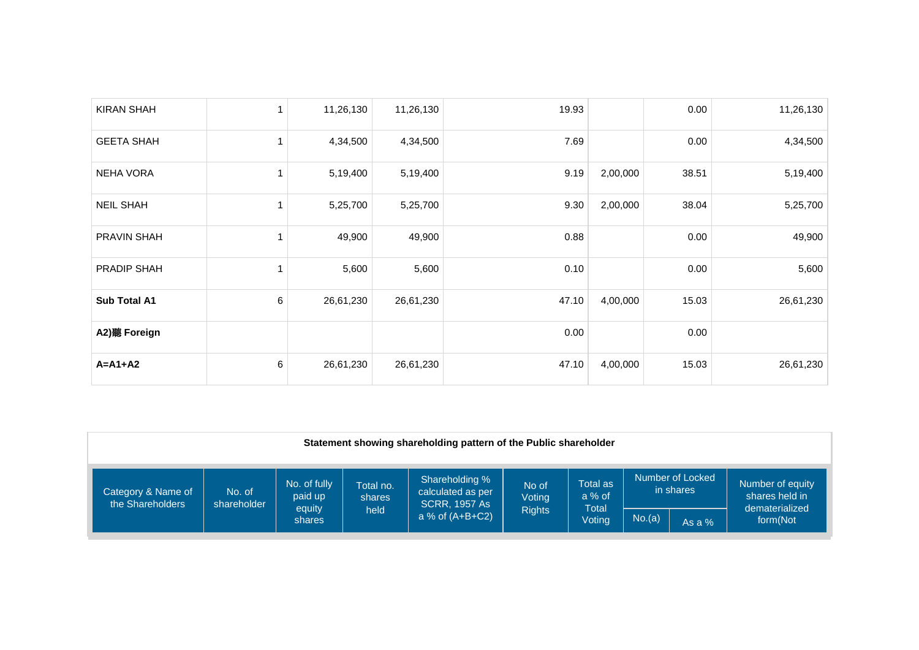| <b>KIRAN SHAH</b> | $\mathbf{1}$ | 11,26,130 | 11,26,130 | 19.93 |          | 0.00  | 11,26,130 |
|-------------------|--------------|-----------|-----------|-------|----------|-------|-----------|
| <b>GEETA SHAH</b> | 1            | 4,34,500  | 4,34,500  | 7.69  |          | 0.00  | 4,34,500  |
| <b>NEHA VORA</b>  | 1            | 5,19,400  | 5,19,400  | 9.19  | 2,00,000 | 38.51 | 5,19,400  |
| <b>NEIL SHAH</b>  | 1            | 5,25,700  | 5,25,700  | 9.30  | 2,00,000 | 38.04 | 5,25,700  |
| PRAVIN SHAH       | 1            | 49,900    | 49,900    | 0.88  |          | 0.00  | 49,900    |
| PRADIP SHAH       | 1            | 5,600     | 5,600     | 0.10  |          | 0.00  | 5,600     |
| Sub Total A1      | 6            | 26,61,230 | 26,61,230 | 47.10 | 4,00,000 | 15.03 | 26,61,230 |
| A2) 聽 Foreign     |              |           |           | 0.00  |          | 0.00  |           |
| $A = A1 + A2$     | 6            | 26,61,230 | 26,61,230 | 47.10 | 4,00,000 | 15.03 | 26,61,230 |

|                                        | Statement showing shareholding pattern of the Public shareholder |                                   |                             |                                                             |                 |                               |        |                               |                                                      |
|----------------------------------------|------------------------------------------------------------------|-----------------------------------|-----------------------------|-------------------------------------------------------------|-----------------|-------------------------------|--------|-------------------------------|------------------------------------------------------|
| Category & Name of<br>the Shareholders | No. of<br>shareholder                                            | No. of fully<br>paid up<br>equity | Total no.<br>shares<br>held | Shareholding %<br>calculated as per<br><b>SCRR, 1957 As</b> | No of<br>Voting | Total as<br>$a\%$ of<br>Total |        | Number of Locked<br>in shares | Number of equity<br>shares held in<br>dematerialized |
|                                        |                                                                  | shares                            |                             | a % of $(A+B+C2)$                                           | <b>Rights</b>   | Voting                        | No.(a) | As a $%$                      | form(Not                                             |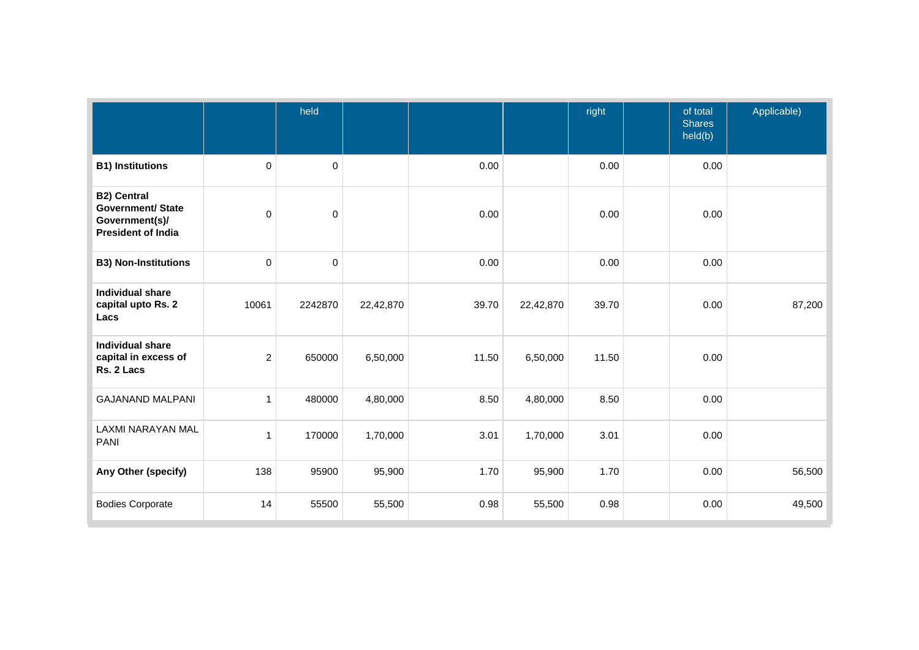|                                                                                               |                | held        |           |       | right     |       | of total<br><b>Shares</b><br>held(b) | Applicable) |
|-----------------------------------------------------------------------------------------------|----------------|-------------|-----------|-------|-----------|-------|--------------------------------------|-------------|
| <b>B1) Institutions</b>                                                                       | 0              | $\mathbf 0$ |           | 0.00  |           | 0.00  | 0.00                                 |             |
| <b>B2) Central</b><br><b>Government/ State</b><br>Government(s)/<br><b>President of India</b> | $\mathbf 0$    | $\pmb{0}$   |           | 0.00  |           | 0.00  | 0.00                                 |             |
| <b>B3) Non-Institutions</b>                                                                   | $\mathbf 0$    | $\mathbf 0$ |           | 0.00  |           | 0.00  | 0.00                                 |             |
| <b>Individual share</b><br>capital upto Rs. 2<br>Lacs                                         | 10061          | 2242870     | 22,42,870 | 39.70 | 22,42,870 | 39.70 | 0.00                                 | 87,200      |
| Individual share<br>capital in excess of<br>Rs. 2 Lacs                                        | $\overline{c}$ | 650000      | 6,50,000  | 11.50 | 6,50,000  | 11.50 | 0.00                                 |             |
| <b>GAJANAND MALPANI</b>                                                                       | $\mathbf{1}$   | 480000      | 4,80,000  | 8.50  | 4,80,000  | 8.50  | 0.00                                 |             |
| LAXMI NARAYAN MAL<br><b>PANI</b>                                                              | 1              | 170000      | 1,70,000  | 3.01  | 1,70,000  | 3.01  | 0.00                                 |             |
| Any Other (specify)                                                                           | 138            | 95900       | 95,900    | 1.70  | 95,900    | 1.70  | 0.00                                 | 56,500      |
| <b>Bodies Corporate</b>                                                                       | 14             | 55500       | 55,500    | 0.98  | 55,500    | 0.98  | 0.00                                 | 49,500      |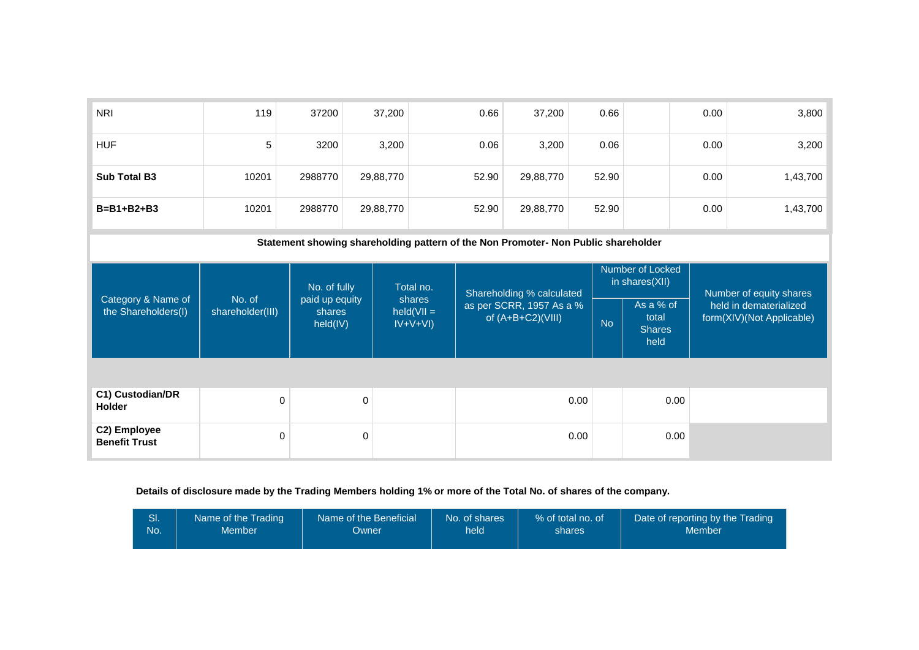| <b>NRI</b>                                | 119                                                                                | 37200                                | 37,200                              | 0.66                                                                         | 37,200    | 0.66      |                                             | 0.00 | 3,800                                                                          |  |
|-------------------------------------------|------------------------------------------------------------------------------------|--------------------------------------|-------------------------------------|------------------------------------------------------------------------------|-----------|-----------|---------------------------------------------|------|--------------------------------------------------------------------------------|--|
| <b>HUF</b>                                | 5                                                                                  | 3200                                 | 3,200                               | 0.06                                                                         | 3,200     | 0.06      |                                             | 0.00 | 3,200                                                                          |  |
| <b>Sub Total B3</b>                       | 10201                                                                              | 2988770                              | 29,88,770                           | 52.90                                                                        | 29,88,770 | 52.90     |                                             | 0.00 | 1,43,700                                                                       |  |
| $B = B1 + B2 + B3$                        | 10201                                                                              | 2988770                              | 29,88,770                           | 52.90                                                                        | 29,88,770 | 52.90     |                                             | 0.00 | 1,43,700                                                                       |  |
|                                           | Statement showing shareholding pattern of the Non Promoter- Non Public shareholder |                                      |                                     |                                                                              |           |           |                                             |      |                                                                                |  |
|                                           |                                                                                    | No. of fully                         | Total no.                           | Shareholding % calculated<br>as per SCRR, 1957 As a %<br>of $(A+B+C2)(VIII)$ |           |           | Number of Locked<br>in shares(XII)          |      | Number of equity shares<br>held in dematerialized<br>form(XIV)(Not Applicable) |  |
| Category & Name of<br>the Shareholders(I) | No. of<br>shareholder(III)                                                         | paid up equity<br>shares<br>held(IV) | shares<br>$held(VII =$<br>$IV+V+VI$ |                                                                              |           | <b>No</b> | As a % of<br>total<br><b>Shares</b><br>held |      |                                                                                |  |
|                                           |                                                                                    |                                      |                                     |                                                                              |           |           |                                             |      |                                                                                |  |
| C1) Custodian/DR<br><b>Holder</b>         | 0                                                                                  | $\mathbf 0$                          |                                     |                                                                              | 0.00      |           | 0.00                                        |      |                                                                                |  |
| C2) Employee<br><b>Benefit Trust</b>      | 0                                                                                  | $\mathbf 0$                          |                                     |                                                                              | 0.00      |           | 0.00                                        |      |                                                                                |  |

## **Details of disclosure made by the Trading Members holding 1% or more of the Total No. of shares of the company.**

|     | Name of the Trading | Name of the Beneficial | No. of shares | % of total no, of | Date of reporting by the Trading |
|-----|---------------------|------------------------|---------------|-------------------|----------------------------------|
| No. | Member              | Owner                  | held          | shares            | Member                           |
|     |                     |                        |               |                   |                                  |